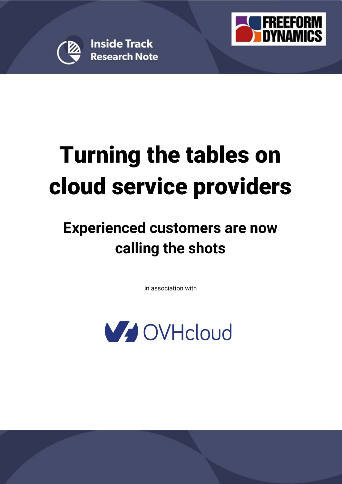

**Inside Track Research Note** 



# Turning the tables on cloud service providers

## **Experienced customers are now calling the shots**

in association with

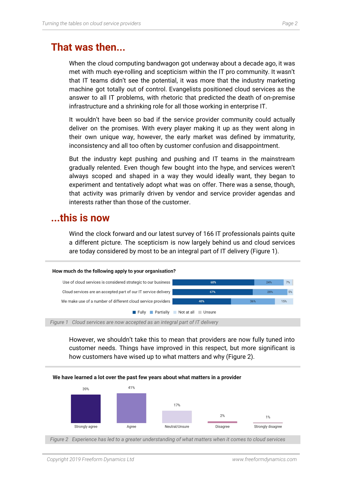## **That was then...**

When the cloud computing bandwagon got underway about a decade ago, it was met with much eye-rolling and scepticism within the IT pro community. It wasn't that IT teams didn't see the potential, it was more that the industry marketing machine got totally out of control. Evangelists positioned cloud services as the answer to all IT problems, with rhetoric that predicted the death of on-premise infrastructure and a shrinking role for all those working in enterprise IT.

It wouldn't have been so bad if the service provider community could actually deliver on the promises. With every player making it up as they went along in their own unique way, however, the early market was defined by immaturity, inconsistency and all too often by customer confusion and disappointment.

But the industry kept pushing and pushing and IT teams in the mainstream gradually relented. Even though few bought into the hype, and services weren't always scoped and shaped in a way they would ideally want, they began to experiment and tentatively adopt what was on offer. There was a sense, though, that activity was primarily driven by vendor and service provider agendas and interests rather than those of the customer.

### **...this is now**

Wind the clock forward and our latest survey of 166 IT professionals paints quite a different picture. The scepticism is now largely behind us and cloud services are today considered by most to be an integral part of IT delivery (Figure 1).

#### How much do the following apply to your organisation?



*Figure 1 Cloud services are now accepted as an integral part of IT delivery*

However, we shouldn't take this to mean that providers are now fully tuned into customer needs. Things have improved in this respect, but more significant is how customers have wised up to what matters and why (Figure 2).

#### We have learned a lot over the past few years about what matters in a provider



*Figure 2 Experience has led to a greater understanding of what matters when it comes to cloud services*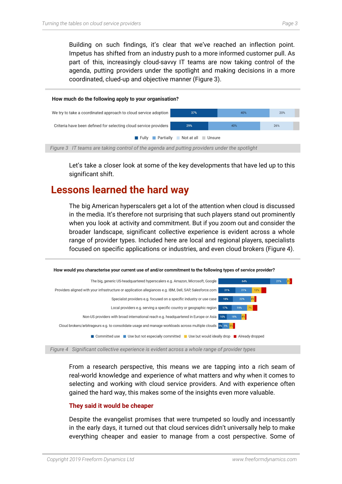Building on such findings, it's clear that we've reached an inflection point. Impetus has shifted from an industry push to a more informed customer pull. As part of this, increasingly cloud-savvy IT teams are now taking control of the agenda, putting providers under the spotlight and making decisions in a more coordinated, clued-up and objective manner (Figure 3).



Let's take a closer look at some of the key developments that have led up to this significant shift.

## **Lessons learned the hard way**

The big American hyperscalers get a lot of the attention when cloud is discussed in the media. It's therefore not surprising that such players stand out prominently when you look at activity and commitment. But if you zoom out and consider the broader landscape, significant collective experience is evident across a whole range of provider types. Included here are local and regional players, specialists focused on specific applications or industries, and even cloud brokers (Figure 4).

![](_page_2_Figure_6.jpeg)

![](_page_2_Figure_7.jpeg)

From a research perspective, this means we are tapping into a rich seam of real-world knowledge and experience of what matters and why when it comes to selecting and working with cloud service providers. And with experience often gained the hard way, this makes some of the insights even more valuable.

#### **They said it would be cheaper**

Despite the evangelist promises that were trumpeted so loudly and incessantly in the early days, it turned out that cloud services didn't universally help to make everything cheaper and easier to manage from a cost perspective. Some of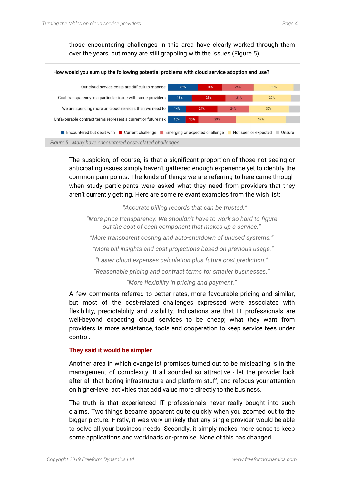those encountering challenges in this area have clearly worked through them over the years, but many are still grappling with the issues (Figure 5).

![](_page_3_Figure_2.jpeg)

The suspicion, of course, is that a significant proportion of those not seeing or anticipating issues simply haven't gathered enough experience yet to identify the common pain points. The kinds of things we are referring to here came through when study participants were asked what they need from providers that they aren't currently getting. Here are some relevant examples from the wish list:

*"Accurate billing records that can be trusted." "More price transparency. We shouldn't have to work so hard to figure out the cost of each component that makes up a service." "More transparent costing and auto-shutdown of unused systems." "More bill insights and cost projections based on previous usage." "Easier cloud expenses calculation plus future cost prediction." "Reasonable pricing and contract terms for smaller businesses."*

*"More flexibility in pricing and payment."*

A few comments referred to better rates, more favourable pricing and similar, but most of the cost-related challenges expressed were associated with flexibility, predictability and visibility. Indications are that IT professionals are well-beyond expecting cloud services to be cheap; what they want from providers is more assistance, tools and cooperation to keep service fees under control.

#### **They said it would be simpler**

Another area in which evangelist promises turned out to be misleading is in the management of complexity. It all sounded so attractive - let the provider look after all that boring infrastructure and platform stuff, and refocus your attention on higher-level activities that add value more directly to the business.

The truth is that experienced IT professionals never really bought into such claims. Two things became apparent quite quickly when you zoomed out to the bigger picture. Firstly, it was very unlikely that any single provider would be able to solve all your business needs. Secondly, it simply makes more sense to keep some applications and workloads on-premise. None of this has changed.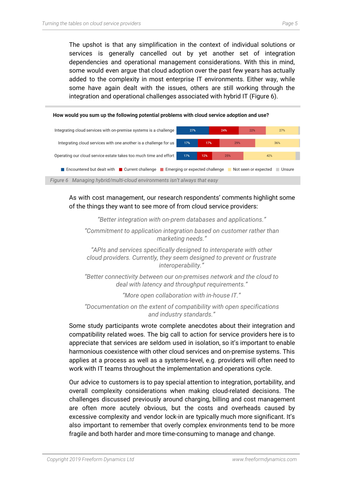The upshot is that any simplification in the context of individual solutions or services is generally cancelled out by yet another set of integration dependencies and operational management considerations. With this in mind, some would even argue that cloud adoption over the past few years has actually added to the complexity in most enterprise IT environments. Either way, while some have again dealt with the issues, others are still working through the integration and operational challenges associated with hybrid IT (Figure 6).

![](_page_4_Figure_2.jpeg)

As with cost management, our research respondents' comments highlight some of the things they want to see more of from cloud service providers:

*"Better integration with on-prem databases and applications."*

*"Commitment to application integration based on customer rather than marketing needs."*

*"APIs and services specifically designed to interoperate with other cloud providers. Currently, they seem designed to prevent or frustrate interoperability."*

*"Better connectivity between our on-premises network and the cloud to deal with latency and throughput requirements."*

*"More open collaboration with in-house IT."*

*"Documentation on the extent of compatibility with open specifications and industry standards."*

Some study participants wrote complete anecdotes about their integration and compatibility related woes. The big call to action for service providers here is to appreciate that services are seldom used in isolation, so it's important to enable harmonious coexistence with other cloud services and on-premise systems. This applies at a process as well as a systems-level, e.g. providers will often need to work with IT teams throughout the implementation and operations cycle.

Our advice to customers is to pay special attention to integration, portability, and overall complexity considerations when making cloud-related decisions. The challenges discussed previously around charging, billing and cost management are often more acutely obvious, but the costs and overheads caused by excessive complexity and vendor lock-in are typically much more significant. It's also important to remember that overly complex environments tend to be more fragile and both harder and more time-consuming to manage and change.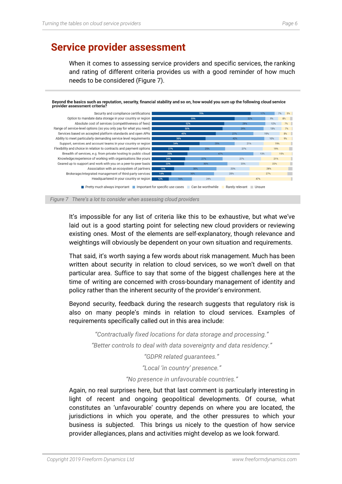## **Service provider assessment**

When it comes to assessing service providers and specific services, the ranking and rating of different criteria provides us with a good reminder of how much needs to be considered (Figure 7).

Beyond the basics such as reputation, security, financial stability and so on, how would you sum up the following cloud service provider assessment criteria?

![](_page_5_Figure_4.jpeg)

![](_page_5_Figure_5.jpeg)

It's impossible for any list of criteria like this to be exhaustive, but what we've laid out is a good starting point for selecting new cloud providers or reviewing existing ones. Most of the elements are self-explanatory, though relevance and weightings will obviously be dependent on your own situation and requirements.

That said, it's worth saying a few words about risk management. Much has been written about security in relation to cloud services, so we won't dwell on that particular area. Suffice to say that some of the biggest challenges here at the time of writing are concerned with cross-boundary management of identity and policy rather than the inherent security of the provider's environment.

Beyond security, feedback during the research suggests that regulatory risk is also on many people's minds in relation to cloud services. Examples of requirements specifically called out in this area include:

*"Contractually fixed locations for data storage and processing." "Better controls to deal with data sovereignty and data residency."*

*"GDPR related guarantees."*

*"Local 'in country' presence."*

*"No presence in unfavourable countries."*

Again, no real surprises here, but that last comment is particularly interesting in light of recent and ongoing geopolitical developments. Of course, what constitutes an 'unfavourable' country depends on where you are located, the jurisdictions in which you operate, and the other pressures to which your business is subjected. This brings us nicely to the question of how service provider allegiances, plans and activities might develop as we look forward.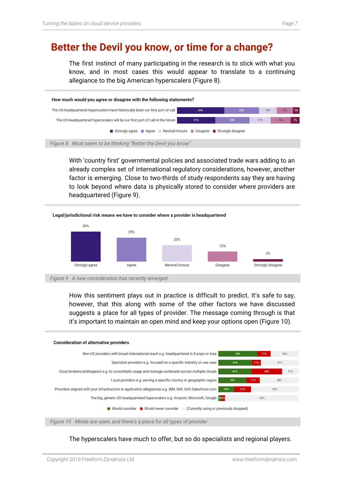## **Better the Devil you know, or time for a change?**

The first instinct of many participating in the research is to stick with what you know, and in most cases this would appear to translate to a continuing allegiance to the big American hyperscalers (Figure 8).

![](_page_6_Figure_3.jpeg)

With 'country first' governmental policies and associated trade wars adding to an already complex set of international regulatory considerations, however, another factor is emerging. Close to two-thirds of study respondents say they are having to look beyond where data is physically stored to consider where providers are headquartered (Figure 9).

![](_page_6_Figure_5.jpeg)

How this sentiment plays out in practice is difficult to predict. It's safe to say, however, that this along with some of the other factors we have discussed suggests a place for all types of provider. The message coming through is that it's important to maintain an open mind and keep your options open (Figure 10).

![](_page_6_Figure_7.jpeg)

*Figure 10 Minds are open, and there's a place for all types of provider*

The hyperscalers have much to offer, but so do specialists and regional players.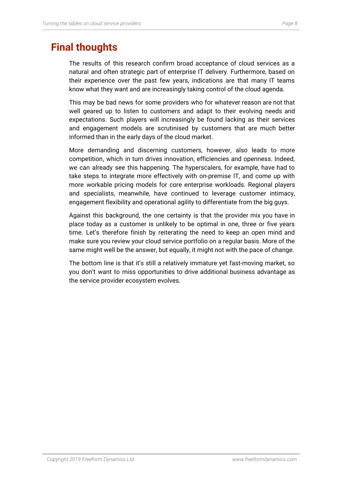The results of this research confirm broad acceptance of cloud services as a natural and often strategic part of enterprise IT delivery. Furthermore, based on their experience over the past few years, indications are that many IT teams know what they want and are increasingly taking control of the cloud agenda.

This may be bad news for some providers who for whatever reason are not that well geared up to listen to customers and adapt to their evolving needs and expectations. Such players will increasingly be found lacking as their services and engagement models are scrutinised by customers that are much better informed than in the early days of the cloud market.

More demanding and discerning customers, however, also leads to more competition, which in turn drives innovation, efficiencies and openness. Indeed, we can already see this happening. The hyperscalers, for example, have had to take steps to integrate more effectively with on-premise IT, and come up with more workable pricing models for core enterprise workloads. Regional players and specialists, meanwhile, have continued to leverage customer intimacy, engagement flexibility and operational agility to differentiate from the big guys.

Against this background, the one certainty is that the provider mix you have in place today as a customer is unlikely to be optimal in one, three or five years time. Let's therefore finish by reiterating the need to keep an open mind and make sure you review your cloud service portfolio on a regular basis. More of the same might well be the answer, but equally, it might not with the pace of change.

The bottom line is that it's still a relatively immature yet fast-moving market, so you don't want to miss opportunities to drive additional business advantage as the service provider ecosystem evolves.